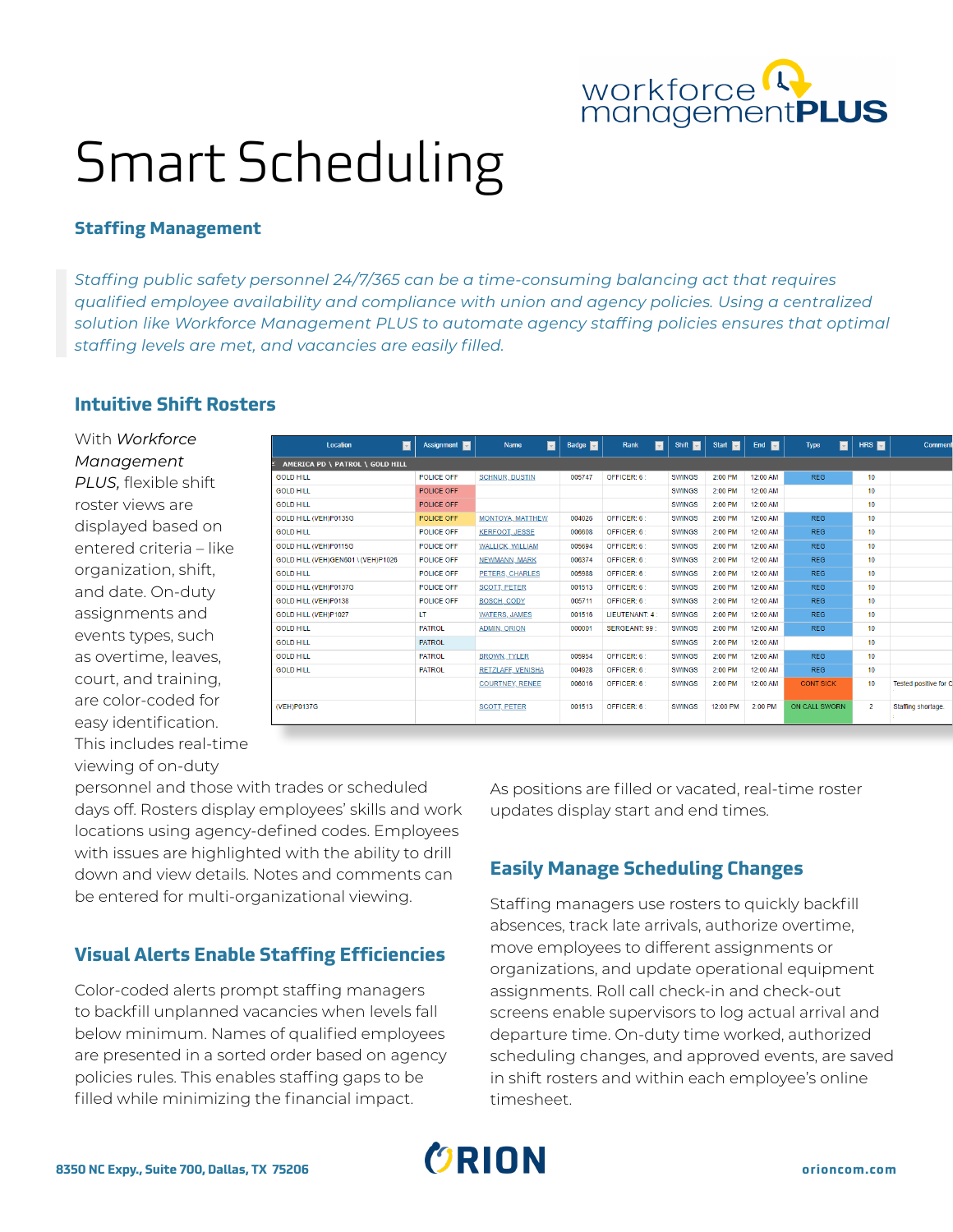

# Smart Scheduling

### **Staffing Management**

*Staffing public safety personnel 24/7/365 can be a time-consuming balancing act that requires qualified employee availability and compliance with union and agency policies. Using a centralized solution like Workforce Management PLUS to automate agency staffing policies ensures that optimal staffing levels are met, and vacancies are easily filled.*

# **Intuitive Shift Rosters**

With *Workforce Management PLUS,* flexible shift roster views are displayed based on entered criteria – like organization, shift, and date. On-duty assignments and events types, such as overtime, leaves, court, and training, are color-coded for easy identification. This includes real-time viewing of on-duty

| П<br>Location                      | Assignment <b>D</b> | $\blacksquare$<br><b>Name</b> | Badge <b>M</b> | $\overline{\mathbf{v}}$<br>Rank | Shift <b>Ext</b> | Start <b>E</b> | End $\blacksquare$ | $\overline{\phantom{0}}$<br><b>Type</b> | HRS <b>E</b>     | Comment                      |
|------------------------------------|---------------------|-------------------------------|----------------|---------------------------------|------------------|----------------|--------------------|-----------------------------------------|------------------|------------------------------|
| AMERICA PD \ PATROL \ GOLD HILL    |                     |                               |                |                                 |                  |                |                    |                                         |                  |                              |
| <b>GOLD HILL</b>                   | POLICE OFF          | <b>SCHNUR, DUSTIN</b>         | 005747         | OFFICER: 6:                     | <b>SWINGS</b>    | 2:00 PM        | 12:00 AM           | <b>REG</b>                              | 10 <sup>10</sup> |                              |
| <b>GOLD HILL</b>                   | POLICE OFF          |                               |                |                                 | <b>SWINGS</b>    | 2:00 PM        | 12:00 AM           |                                         | 10 <sup>10</sup> |                              |
| <b>GOLD HILL</b>                   | POLICE OFF          |                               |                |                                 | <b>SWINGS</b>    | 2:00 PM        | 12:00 AM           |                                         | 10 <sup>10</sup> |                              |
| GOLD HILL (VEH)P0135G              | POLICE OFF          | MONTOYA, MATTHEW              | 004026         | OFFICER: 6:                     | <b>SWINGS</b>    | 2:00 PM        | 12:00 AM           | <b>REG</b>                              | 10               |                              |
| <b>GOLD HILL</b>                   | <b>POLICE OFF</b>   | <b>KERFOOT, JESSE</b>         | 006608         | OFFICER: 6:                     | <b>SWINGS</b>    | 2:00 PM        | 12:00 AM           | <b>REG</b>                              | 10               |                              |
| GOLD HILL (VEH)P0115G              | <b>POLICE OFF</b>   | WALLICK, WILLIAM              | 005694         | OFFICER: 6:                     | <b>SWINGS</b>    | 2:00 PM        | 12:00 AM           | <b>REG</b>                              | 10               |                              |
| GOLD HILL (VEH)GEN601 \ (VEH)P1026 | <b>POLICE OFF</b>   | NEWMANN, MARK                 | 006374         | OFFICER: 6:                     | <b>SWINGS</b>    | 2:00 PM        | 12:00 AM           | <b>REG</b>                              | 10               |                              |
| <b>GOLD HILL</b>                   | <b>POLICE OFF</b>   | PETERS, CHARLES               | 005988         | OFFICER: 6:                     | <b>SWINGS</b>    | 2:00 PM        | 12:00 AM           | <b>REG</b>                              | 10               |                              |
| GOLD HILL (VEH)P0137G              | <b>POLICE OFF</b>   | <b>SCOTT PETER</b>            | 001513         | OFFICER: 6:                     | <b>SWINGS</b>    | 2:00 PM        | 12:00 AM           | <b>REG</b>                              | 10               |                              |
| GOLD HILL (VEH)P0138               | <b>POLICE OFF</b>   | <b>BOSCH, CODY</b>            | 005711         | OFFICER: 6:                     | <b>SWINGS</b>    | 2:00 PM        | 12:00 AM           | <b>REG</b>                              | 10               |                              |
| GOLD HILL (VEH)P1027               | LT.                 | <b>WATERS, JAMES</b>          | 001516         | LIEUTENANT: 4 :                 | <b>SWINGS</b>    | 2:00 PM        | 12:00 AM           | <b>REG</b>                              | 10               |                              |
| <b>GOLD HILL</b>                   | <b>PATROL</b>       | <b>ADMIN, ORION</b>           | 000001         | <b>SERGEANT: 99:</b>            | <b>SWINGS</b>    | 2:00 PM        | 12:00 AM           | <b>REG</b>                              | 10               |                              |
| <b>GOLD HILL</b>                   | <b>PATROL</b>       |                               |                |                                 | <b>SWINGS</b>    | 2:00 PM        | 12:00 AM           |                                         | 10               |                              |
| <b>GOLD HILL</b>                   | <b>PATROL</b>       | <b>BROWN, TYLER</b>           | 005954         | OFFICER: 6:                     | <b>SWINGS</b>    | 2:00 PM        | 12:00 AM           | <b>REG</b>                              | 10 <sup>10</sup> |                              |
| <b>GOLD HILL</b>                   | <b>PATROL</b>       | RETZLAFF, VENISHA             | 004928         | OFFICER: 6:                     | <b>SWINGS</b>    | 2:00 PM        | 12:00 AM           | <b>REG</b>                              | 10               |                              |
|                                    |                     | <b>COURTNEY, RENEE</b>        | 006016         | OFFICER: 6:                     | <b>SWINGS</b>    | 2:00 PM        | 12:00 AM           | <b>CONT SICK</b>                        | 10 <sup>10</sup> | <b>Tested positive for C</b> |
| (VEH)P0137G                        |                     | <b>SCOTT, PETER</b>           | 001513         | OFFICER: 6:                     | <b>SWINGS</b>    | 12:00 PM       | 2:00 PM            | ON CALL SWORN                           | $\overline{2}$   | Staffing shortage.           |
|                                    |                     |                               |                |                                 |                  |                |                    |                                         |                  |                              |

personnel and those with trades or scheduled days off. Rosters display employees' skills and work locations using agency-defined codes. Employees with issues are highlighted with the ability to drill down and view details. Notes and comments can be entered for multi-organizational viewing.

# **Visual Alerts Enable Staffing Efficiencies**

Color-coded alerts prompt staffing managers to backfill unplanned vacancies when levels fall below minimum. Names of qualified employees are presented in a sorted order based on agency policies rules. This enables staffing gaps to be filled while minimizing the financial impact.

As positions are filled or vacated, real-time roster updates display start and end times.

# **Easily Manage Scheduling Changes**

Staffing managers use rosters to quickly backfill absences, track late arrivals, authorize overtime, move employees to different assignments or organizations, and update operational equipment assignments. Roll call check-in and check-out screens enable supervisors to log actual arrival and departure time. On-duty time worked, authorized scheduling changes, and approved events, are saved in shift rosters and within each employee's online timesheet.